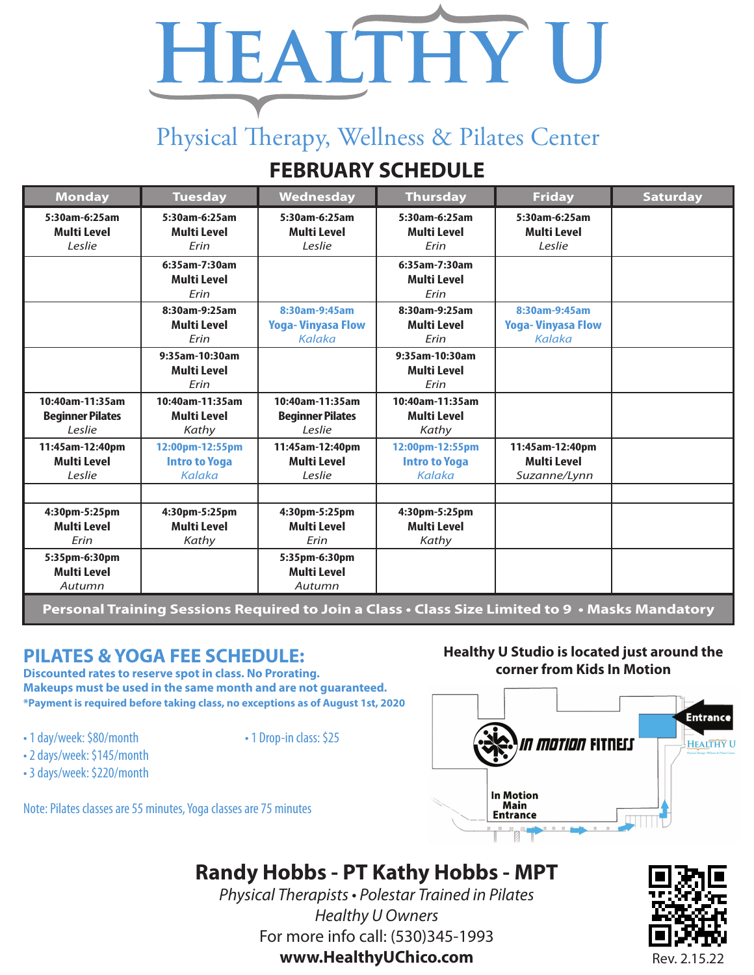# HEALTHY U

# Physical Therapy, Wellness & Pilates Center

## **FEBRUARY SCHEDULE**

| <b>Monday</b>                                                                                    | <b>Tuesday</b>                                    | <b>Wednesday</b>                                     | <b>Thursday</b>                                   | <b>Friday</b>                                         | <b>Saturday</b> |
|--------------------------------------------------------------------------------------------------|---------------------------------------------------|------------------------------------------------------|---------------------------------------------------|-------------------------------------------------------|-----------------|
| 5:30am-6:25am<br><b>Multi Level</b><br>Leslie                                                    | 5:30am-6:25am<br><b>Multi Level</b><br>Erin       | 5:30am-6:25am<br><b>Multi Level</b><br>Leslie        | 5:30am-6:25am<br>Multi Level<br>Erin              | 5:30am-6:25am<br><b>Multi Level</b><br>Leslie         |                 |
|                                                                                                  | 6:35am-7:30am<br><b>Multi Level</b><br>Erin       |                                                      | 6:35am-7:30am<br>Multi Level<br>Erin              |                                                       |                 |
|                                                                                                  | 8:30am-9:25am<br>Multi Level<br>Frin              | 8:30am-9:45am<br><b>Yoga-Vinyasa Flow</b><br>Kalaka  | 8:30am-9:25am<br><b>Multi Level</b><br>Frin       | 8:30am-9:45am<br><b>Yoga-Vinyasa Flow</b><br>Kalaka   |                 |
|                                                                                                  | 9:35am-10:30am<br><b>Multi Level</b><br>Erin      |                                                      | 9:35am-10:30am<br><b>Multi Level</b><br>Erin      |                                                       |                 |
| 10:40am-11:35am<br><b>Beginner Pilates</b><br>Leslie                                             | 10:40am-11:35am<br><b>Multi Level</b><br>Kathy    | 10:40am-11:35am<br><b>Beginner Pilates</b><br>Leslie | 10:40am-11:35am<br><b>Multi Level</b><br>Kathy    |                                                       |                 |
| 11:45am-12:40pm<br><b>Multi Level</b><br>Leslie                                                  | 12:00pm-12:55pm<br><b>Intro to Yoga</b><br>Kalaka | 11:45am-12:40pm<br><b>Multi Level</b><br>Leslie      | 12:00pm-12:55pm<br><b>Intro to Yoga</b><br>Kalaka | 11:45am-12:40pm<br><b>Multi Level</b><br>Suzanne/Lynn |                 |
|                                                                                                  |                                                   |                                                      |                                                   |                                                       |                 |
| 4:30pm-5:25pm<br><b>Multi Level</b><br>Erin                                                      | 4:30pm-5:25pm<br><b>Multi Level</b><br>Kathy      | 4:30pm-5:25pm<br><b>Multi Level</b><br>Erin          | 4:30pm-5:25pm<br><b>Multi Level</b><br>Kathy      |                                                       |                 |
| 5:35pm-6:30pm<br><b>Multi Level</b><br>Autumn                                                    |                                                   | 5:35pm-6:30pm<br><b>Multi Level</b><br>Autumn        |                                                   |                                                       |                 |
| Personal Training Sessions Required to Join a Class • Class Size Limited to 9  • Masks Mandatory |                                                   |                                                      |                                                   |                                                       |                 |

### **PILATES & YOGA FEE SCHEDULE:**

**Discounted rates to reserve spot in class. No Prorating. Makeups must be used in the same month and are not guaranteed. \*Payment is required before taking class, no exceptions as of August 1st, 2020**

- 1 day/week: \$80/month 1 Drop-in class: \$25
	-
- 2 days/week: \$145/month
- 3 days/week: \$220/month

Note: Pilates classes are 55 minutes, Yoga classes are 75 minutes

#### **Healthy U Studio is located just around the corner from Kids In Motion**



## **Randy Hobbs - PT Kathy Hobbs - MPT**

Physical Therapists • Polestar Trained in Pilates Healthy U Owners For more info call: (530)345-1993 **www.HealthyUChico.com** Rev. 2.15